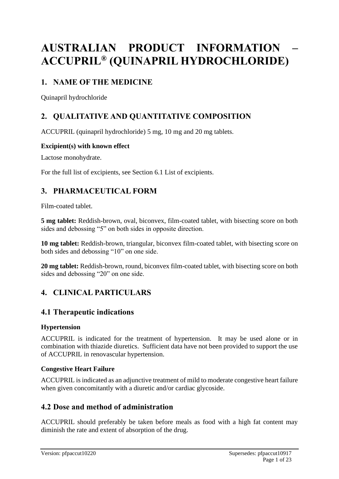# **AUSTRALIAN PRODUCT INFORMATION – ACCUPRIL® (QUINAPRIL HYDROCHLORIDE)**

# **1. NAME OF THE MEDICINE**

Quinapril hydrochloride

# **2. QUALITATIVE AND QUANTITATIVE COMPOSITION**

ACCUPRIL (quinapril hydrochloride) 5 mg, 10 mg and 20 mg tablets.

### **Excipient(s) with known effect**

Lactose monohydrate.

For the full list of excipients, see Section 6.1 List of excipients.

# **3. PHARMACEUTICAL FORM**

Film-coated tablet.

**5 mg tablet:** Reddish-brown, oval, biconvex, film-coated tablet, with bisecting score on both sides and debossing "5" on both sides in opposite direction.

**10 mg tablet:** Reddish-brown, triangular, biconvex film-coated tablet, with bisecting score on both sides and debossing "10" on one side.

**20 mg tablet:** Reddish-brown, round, biconvex film-coated tablet, with bisecting score on both sides and debossing "20" on one side.

# **4. CLINICAL PARTICULARS**

# **4.1 Therapeutic indications**

### **Hypertension**

ACCUPRIL is indicated for the treatment of hypertension. It may be used alone or in combination with thiazide diuretics. Sufficient data have not been provided to support the use of ACCUPRIL in renovascular hypertension.

### **Congestive Heart Failure**

ACCUPRIL is indicated as an adjunctive treatment of mild to moderate congestive heart failure when given concomitantly with a diuretic and/or cardiac glycoside.

# **4.2 Dose and method of administration**

ACCUPRIL should preferably be taken before meals as food with a high fat content may diminish the rate and extent of absorption of the drug.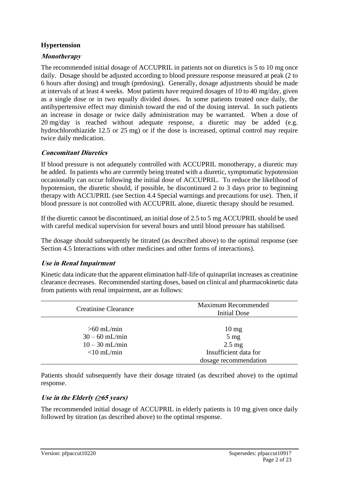### **Hypertension**

### **Monotherapy**

The recommended initial dosage of ACCUPRIL in patients not on diuretics is 5 to 10 mg once daily. Dosage should be adjusted according to blood pressure response measured at peak (2 to 6 hours after dosing) and trough (predosing). Generally, dosage adjustments should be made at intervals of at least 4 weeks. Most patients have required dosages of 10 to 40 mg/day, given as a single dose or in two equally divided doses. In some patients treated once daily, the antihypertensive effect may diminish toward the end of the dosing interval. In such patients an increase in dosage or twice daily administration may be warranted. When a dose of 20 mg/day is reached without adequate response, a diuretic may be added (e.g. hydrochlorothiazide 12.5 or 25 mg) or if the dose is increased, optimal control may require twice daily medication.

### **Concomitant Diuretics**

If blood pressure is not adequately controlled with ACCUPRIL monotherapy, a diuretic may be added. In patients who are currently being treated with a diuretic, symptomatic hypotension occasionally can occur following the initial dose of ACCUPRIL. To reduce the likelihood of hypotension, the diuretic should, if possible, be discontinued 2 to 3 days prior to beginning therapy with ACCUPRIL (see Section 4.4 Special warnings and precautions for use). Then, if blood pressure is not controlled with ACCUPRIL alone, diuretic therapy should be resumed.

If the diuretic cannot be discontinued, an initial dose of 2.5 to 5 mg ACCUPRIL should be used with careful medical supervision for several hours and until blood pressure has stabilised.

The dosage should subsequently be titrated (as described above) to the optimal response (see Section 4.5 Interactions with other medicines and other forms of interactions).

### **Use in Renal Impairment**

Kinetic data indicate that the apparent elimination half-life of quinaprilat increases as creatinine clearance decreases. Recommended starting doses, based on clinical and pharmacokinetic data from patients with renal impairment, are as follows:

| <b>Creatinine Clearance</b>                                           | Maximum Recommended<br><b>Initial Dose</b>                                                              |
|-----------------------------------------------------------------------|---------------------------------------------------------------------------------------------------------|
| $>60$ mL/min<br>$30 - 60$ mL/min<br>$10 - 30$ mL/min<br>$<$ 10 mL/min | $10 \text{ mg}$<br>$5 \text{ mg}$<br>$2.5 \text{ mg}$<br>Insufficient data for<br>dosage recommendation |

Patients should subsequently have their dosage titrated (as described above) to the optimal response.

# **Use in the Elderly (≥65 years)**

The recommended initial dosage of ACCUPRIL in elderly patients is 10 mg given once daily followed by titration (as described above) to the optimal response.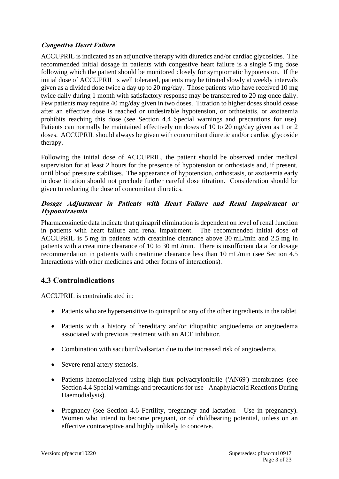### **Congestive Heart Failure**

ACCUPRIL is indicated as an adjunctive therapy with diuretics and/or cardiac glycosides. The recommended initial dosage in patients with congestive heart failure is a single 5 mg dose following which the patient should be monitored closely for symptomatic hypotension. If the initial dose of ACCUPRIL is well tolerated, patients may be titrated slowly at weekly intervals given as a divided dose twice a day up to 20 mg/day. Those patients who have received 10 mg twice daily during 1 month with satisfactory response may be transferred to 20 mg once daily. Few patients may require 40 mg/day given in two doses. Titration to higher doses should cease after an effective dose is reached or undesirable hypotension, or orthostatis, or azotaemia prohibits reaching this dose (see Section 4.4 Special warnings and precautions for use). Patients can normally be maintained effectively on doses of 10 to 20 mg/day given as 1 or 2 doses. ACCUPRIL should always be given with concomitant diuretic and/or cardiac glycoside therapy.

Following the initial dose of ACCUPRIL, the patient should be observed under medical supervision for at least 2 hours for the presence of hypotension or orthostasis and, if present, until blood pressure stabilises. The appearance of hypotension, orthostasis, or azotaemia early in dose titration should not preclude further careful dose titration. Consideration should be given to reducing the dose of concomitant diuretics.

### **Dosage Adjustment in Patients with Heart Failure and Renal Impairment or Hyponatraemia**

Pharmacokinetic data indicate that quinapril elimination is dependent on level of renal function in patients with heart failure and renal impairment. The recommended initial dose of ACCUPRIL is 5 mg in patients with creatinine clearance above 30 mL/min and 2.5 mg in patients with a creatinine clearance of 10 to 30 mL/min. There is insufficient data for dosage recommendation in patients with creatinine clearance less than 10 mL/min (see Section 4.5 Interactions with other medicines and other forms of interactions).

# **4.3 Contraindications**

ACCUPRIL is contraindicated in:

- Patients who are hypersensitive to quinapril or any of the other ingredients in the tablet.
- Patients with a history of hereditary and/or idiopathic angioedema or angioedema associated with previous treatment with an ACE inhibitor.
- Combination with sacubitril/valsartan due to the increased risk of angioedema.
- Severe renal artery stenosis.
- Patients haemodialysed using high-flux polyacrylonitrile ('AN69') membranes (see Section 4.4 Special warnings and precautions for use - Anaphylactoid Reactions During Haemodialysis).
- Pregnancy (see Section 4.6 Fertility, pregnancy and lactation Use in pregnancy). Women who intend to become pregnant, or of childbearing potential, unless on an effective contraceptive and highly unlikely to conceive.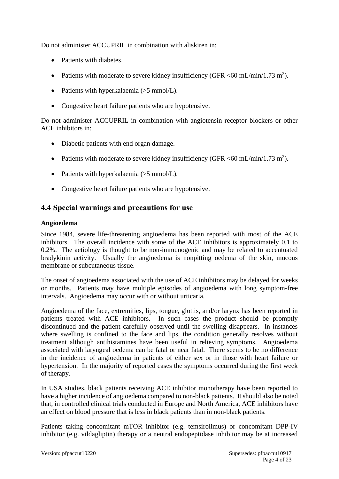Do not administer ACCUPRIL in combination with aliskiren in:

- Patients with diabetes.
- Patients with moderate to severe kidney insufficiency (GFR  $\langle 60 \text{ mL/min}/1.73 \text{ m}^2 \rangle$ .
- Patients with hyperkalaemia (>5 mmol/L).
- Congestive heart failure patients who are hypotensive.

Do not administer ACCUPRIL in combination with angiotensin receptor blockers or other ACE inhibitors in:

- Diabetic patients with end organ damage.
- Patients with moderate to severe kidney insufficiency (GFR <60 mL/min/1.73 m<sup>2</sup>).
- Patients with hyperkalaemia  $(5 \text{ mmol/L})$ .
- Congestive heart failure patients who are hypotensive.

# **4.4 Special warnings and precautions for use**

### **Angioedema**

Since 1984, severe life-threatening angioedema has been reported with most of the ACE inhibitors. The overall incidence with some of the ACE inhibitors is approximately 0.1 to 0.2%. The aetiology is thought to be non-immunogenic and may be related to accentuated bradykinin activity. Usually the angioedema is nonpitting oedema of the skin, mucous membrane or subcutaneous tissue.

The onset of angioedema associated with the use of ACE inhibitors may be delayed for weeks or months. Patients may have multiple episodes of angioedema with long symptom-free intervals. Angioedema may occur with or without urticaria.

Angioedema of the face, extremities, lips, tongue, glottis, and/or larynx has been reported in patients treated with ACE inhibitors. In such cases the product should be promptly discontinued and the patient carefully observed until the swelling disappears. In instances where swelling is confined to the face and lips, the condition generally resolves without treatment although antihistamines have been useful in relieving symptoms. Angioedema associated with laryngeal oedema can be fatal or near fatal. There seems to be no difference in the incidence of angioedema in patients of either sex or in those with heart failure or hypertension. In the majority of reported cases the symptoms occurred during the first week of therapy.

In USA studies, black patients receiving ACE inhibitor monotherapy have been reported to have a higher incidence of angioedema compared to non-black patients. It should also be noted that, in controlled clinical trials conducted in Europe and North America, ACE inhibitors have an effect on blood pressure that is less in black patients than in non-black patients.

Patients taking concomitant mTOR inhibitor (e.g. temsirolimus) or concomitant DPP-IV inhibitor (e.g. vildagliptin) therapy or a neutral endopeptidase inhibitor may be at increased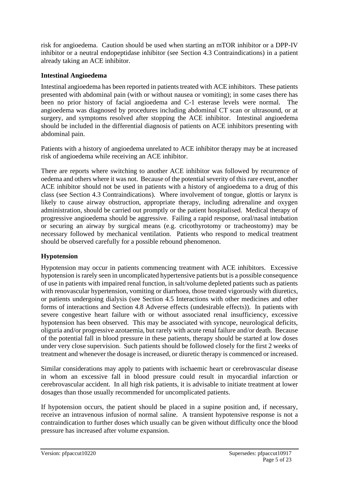risk for angioedema. Caution should be used when starting an mTOR inhibitor or a DPP-IV inhibitor or a neutral endopeptidase inhibitor (see Section 4.3 Contraindications) in a patient already taking an ACE inhibitor.

### **Intestinal Angioedema**

Intestinal angioedema has been reported in patients treated with ACE inhibitors. These patients presented with abdominal pain (with or without nausea or vomiting); in some cases there has been no prior history of facial angioedema and C-1 esterase levels were normal. The angioedema was diagnosed by procedures including abdominal CT scan or ultrasound, or at surgery, and symptoms resolved after stopping the ACE inhibitor. Intestinal angioedema should be included in the differential diagnosis of patients on ACE inhibitors presenting with abdominal pain.

Patients with a history of angioedema unrelated to ACE inhibitor therapy may be at increased risk of angioedema while receiving an ACE inhibitor.

There are reports where switching to another ACE inhibitor was followed by recurrence of oedema and others where it was not. Because of the potential severity of this rare event, another ACE inhibitor should not be used in patients with a history of angioedema to a drug of this class (see Section 4.3 Contraindications). Where involvement of tongue, glottis or larynx is likely to cause airway obstruction, appropriate therapy, including adrenaline and oxygen administration, should be carried out promptly or the patient hospitalised. Medical therapy of progressive angioedema should be aggressive. Failing a rapid response, oral/nasal intubation or securing an airway by surgical means (e.g. cricothyrotomy or tracheostomy) may be necessary followed by mechanical ventilation. Patients who respond to medical treatment should be observed carefully for a possible rebound phenomenon.

# **Hypotension**

Hypotension may occur in patients commencing treatment with ACE inhibitors. Excessive hypotension is rarely seen in uncomplicated hypertensive patients but is a possible consequence of use in patients with impaired renal function, in salt/volume depleted patients such as patients with renovascular hypertension, vomiting or diarrhoea, those treated vigorously with diuretics, or patients undergoing dialysis (see Section 4.5 Interactions with other medicines and other forms of interactions and Section 4.8 Adverse effects (undesirable effects)). In patients with severe congestive heart failure with or without associated renal insufficiency, excessive hypotension has been observed. This may be associated with syncope, neurological deficits, oliguria and/or progressive azotaemia, but rarely with acute renal failure and/or death. Because of the potential fall in blood pressure in these patients, therapy should be started at low doses under very close supervision. Such patients should be followed closely for the first 2 weeks of treatment and whenever the dosage is increased, or diuretic therapy is commenced or increased.

Similar considerations may apply to patients with ischaemic heart or cerebrovascular disease in whom an excessive fall in blood pressure could result in myocardial infarction or cerebrovascular accident. In all high risk patients, it is advisable to initiate treatment at lower dosages than those usually recommended for uncomplicated patients.

If hypotension occurs, the patient should be placed in a supine position and, if necessary, receive an intravenous infusion of normal saline. A transient hypotensive response is not a contraindication to further doses which usually can be given without difficulty once the blood pressure has increased after volume expansion.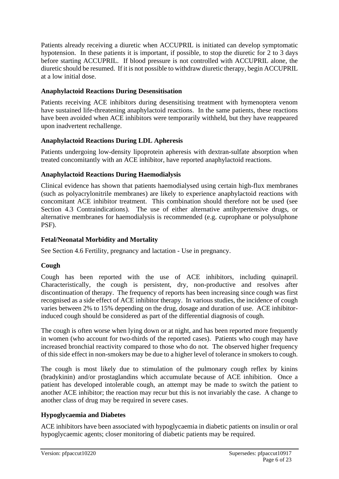Patients already receiving a diuretic when ACCUPRIL is initiated can develop symptomatic hypotension. In these patients it is important, if possible, to stop the diuretic for 2 to 3 days before starting ACCUPRIL. If blood pressure is not controlled with ACCUPRIL alone, the diuretic should be resumed. If it is not possible to withdraw diuretic therapy, begin ACCUPRIL at a low initial dose.

### **Anaphylactoid Reactions During Desensitisation**

Patients receiving ACE inhibitors during desensitising treatment with hymenoptera venom have sustained life-threatening anaphylactoid reactions. In the same patients, these reactions have been avoided when ACE inhibitors were temporarily withheld, but they have reappeared upon inadvertent rechallenge.

### **Anaphylactoid Reactions During LDL Apheresis**

Patients undergoing low-density lipoprotein apheresis with dextran-sulfate absorption when treated concomitantly with an ACE inhibitor, have reported anaphylactoid reactions.

### **Anaphylactoid Reactions During Haemodialysis**

Clinical evidence has shown that patients haemodialysed using certain high-flux membranes (such as polyacrylonitrile membranes) are likely to experience anaphylactoid reactions with concomitant ACE inhibitor treatment. This combination should therefore not be used (see Section 4.3 Contraindications). The use of either alternative antihypertensive drugs, or alternative membranes for haemodialysis is recommended (e.g. cuprophane or polysulphone PSF).

### **Fetal/Neonatal Morbidity and Mortality**

See Section 4.6 Fertility, pregnancy and lactation - Use in pregnancy.

# **Cough**

Cough has been reported with the use of ACE inhibitors, including quinapril. Characteristically, the cough is persistent, dry, non-productive and resolves after discontinuation of therapy. The frequency of reports has been increasing since cough was first recognised as a side effect of ACE inhibitor therapy. In various studies, the incidence of cough varies between 2% to 15% depending on the drug, dosage and duration of use. ACE inhibitorinduced cough should be considered as part of the differential diagnosis of cough.

The cough is often worse when lying down or at night, and has been reported more frequently in women (who account for two-thirds of the reported cases). Patients who cough may have increased bronchial reactivity compared to those who do not. The observed higher frequency of this side effect in non-smokers may be due to a higher level of tolerance in smokers to cough.

The cough is most likely due to stimulation of the pulmonary cough reflex by kinins (bradykinin) and/or prostaglandins which accumulate because of ACE inhibition. Once a patient has developed intolerable cough, an attempt may be made to switch the patient to another ACE inhibitor; the reaction may recur but this is not invariably the case. A change to another class of drug may be required in severe cases.

# **Hypoglycaemia and Diabetes**

ACE inhibitors have been associated with hypoglycaemia in diabetic patients on insulin or oral hypoglycaemic agents; closer monitoring of diabetic patients may be required.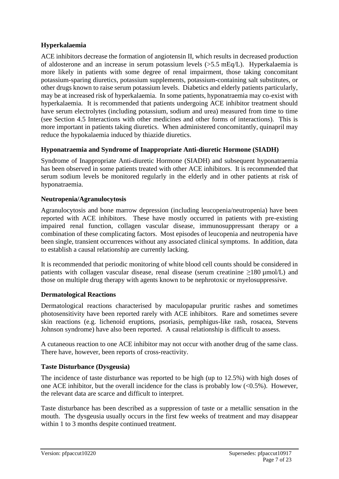### **Hyperkalaemia**

ACE inhibitors decrease the formation of angiotensin II, which results in decreased production of aldosterone and an increase in serum potassium levels (>5.5 mEq/L). Hyperkalaemia is more likely in patients with some degree of renal impairment, those taking concomitant potassium-sparing diuretics, potassium supplements, potassium-containing salt substitutes, or other drugs known to raise serum potassium levels. Diabetics and elderly patients particularly, may be at increased risk of hyperkalaemia. In some patients, hyponatraemia may co-exist with hyperkalaemia. It is recommended that patients undergoing ACE inhibitor treatment should have serum electrolytes (including potassium, sodium and urea) measured from time to time (see Section 4.5 Interactions with other medicines and other forms of interactions). This is more important in patients taking diuretics. When administered concomitantly, quinapril may reduce the hypokalaemia induced by thiazide diuretics.

### **Hyponatraemia and Syndrome of Inappropriate Anti-diuretic Hormone (SIADH)**

Syndrome of Inappropriate Anti-diuretic Hormone (SIADH) and subsequent hyponatraemia has been observed in some patients treated with other ACE inhibitors. It is recommended that serum sodium levels be monitored regularly in the elderly and in other patients at risk of hyponatraemia.

#### **Neutropenia/Agranulocytosis**

Agranulocytosis and bone marrow depression (including leucopenia/neutropenia) have been reported with ACE inhibitors. These have mostly occurred in patients with pre-existing impaired renal function, collagen vascular disease, immunosuppressant therapy or a combination of these complicating factors. Most episodes of leucopenia and neutropenia have been single, transient occurrences without any associated clinical symptoms. In addition, data to establish a causal relationship are currently lacking.

It is recommended that periodic monitoring of white blood cell counts should be considered in patients with collagen vascular disease, renal disease (serum creatinine  $\geq$ 180 µmol/L) and those on multiple drug therapy with agents known to be nephrotoxic or myelosuppressive.

#### **Dermatological Reactions**

Dermatological reactions characterised by maculopapular pruritic rashes and sometimes photosensitivity have been reported rarely with ACE inhibitors. Rare and sometimes severe skin reactions (e.g. lichenoid eruptions, psoriasis, pemphigus-like rash, rosacea, Stevens Johnson syndrome) have also been reported. A causal relationship is difficult to assess.

A cutaneous reaction to one ACE inhibitor may not occur with another drug of the same class. There have, however, been reports of cross-reactivity.

### **Taste Disturbance (Dysgeusia)**

The incidence of taste disturbance was reported to be high (up to 12.5%) with high doses of one ACE inhibitor, but the overall incidence for the class is probably low  $\langle 0.5\% \rangle$ . However, the relevant data are scarce and difficult to interpret.

Taste disturbance has been described as a suppression of taste or a metallic sensation in the mouth. The dysgeusia usually occurs in the first few weeks of treatment and may disappear within 1 to 3 months despite continued treatment.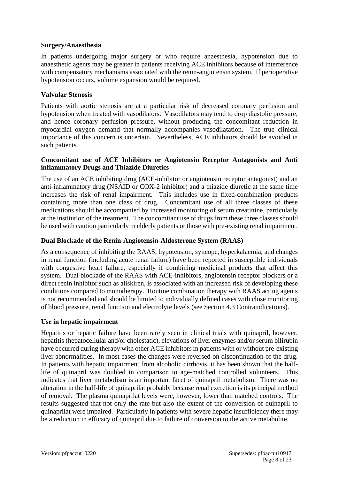#### **Surgery/Anaesthesia**

In patients undergoing major surgery or who require anaesthesia, hypotension due to anaesthetic agents may be greater in patients receiving ACE inhibitors because of interference with compensatory mechanisms associated with the renin-angiotensin system. If perioperative hypotension occurs, volume expansion would be required.

#### **Valvular Stenosis**

Patients with aortic stenosis are at a particular risk of decreased coronary perfusion and hypotension when treated with vasodilators. Vasodilators may tend to drop diastolic pressure, and hence coronary perfusion pressure, without producing the concomitant reduction in myocardial oxygen demand that normally accompanies vasodilatation. The true clinical importance of this concern is uncertain. Nevertheless, ACE inhibitors should be avoided in such patients.

#### **Concomitant use of ACE Inhibitors or Angiotensin Receptor Antagonists and Anti inflammatory Drugs and Thiazide Diuretics**

The use of an ACE inhibiting drug (ACE-inhibitor or angiotensin receptor antagonist) and an anti-inflammatory drug (NSAID or COX-2 inhibitor) and a thiazide diuretic at the same time increases the risk of renal impairment. This includes use in fixed-combination products containing more than one class of drug. Concomitant use of all three classes of these medications should be accompanied by increased monitoring of serum creatinine, particularly at the institution of the treatment. The concomitant use of drugs from these three classes should be used with caution particularly in elderly patients or those with pre-existing renal impairment.

#### **Dual Blockade of the Renin-Angiotensin-Aldosterone System (RAAS)**

As a consequence of inhibiting the RAAS, hypotension, syncope, hyperkalaemia, and changes in renal function (including acute renal failure) have been reported in susceptible individuals with congestive heart failure, especially if combining medicinal products that affect this system. Dual blockade of the RAAS with ACE-inhibitors, angiotensin receptor blockers or a direct renin inhibitor such as aliskiren, is associated with an increased risk of developing these conditions compared to monotherapy. Routine combination therapy with RAAS acting agents is not recommended and should be limited to individually defined cases with close monitoring of blood pressure, renal function and electrolyte levels (see Section 4.3 Contraindications).

#### **Use in hepatic impairment**

Hepatitis or hepatic failure have been rarely seen in clinical trials with quinapril, however, hepatitis (hepatocellular and/or cholestatic), elevations of liver enzymes and/or serum bilirubin have occurred during therapy with other ACE inhibitors in patients with or without pre-existing liver abnormalities. In most cases the changes were reversed on discontinuation of the drug. In patients with hepatic impairment from alcoholic cirrhosis, it has been shown that the halflife of quinapril was doubled in comparison to age-matched controlled volunteers. This indicates that liver metabolism is an important facet of quinapril metabolism. There was no alteration in the half-life of quinaprilat probably because renal excretion is its principal method of removal. The plasma quinaprilat levels were, however, lower than matched controls. The results suggested that not only the rate but also the extent of the conversion of quinapril to quinaprilat were impaired. Particularly in patients with severe hepatic insufficiency there may be a reduction in efficacy of quinapril due to failure of conversion to the active metabolite.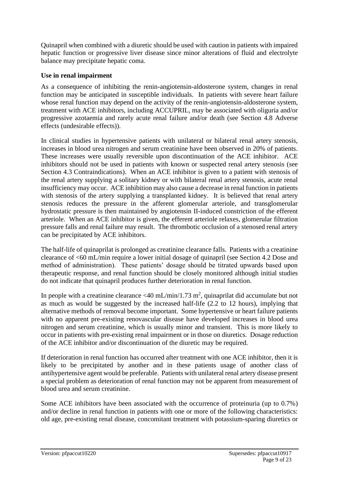Quinapril when combined with a diuretic should be used with caution in patients with impaired hepatic function or progressive liver disease since minor alterations of fluid and electrolyte balance may precipitate hepatic coma.

### **Use in renal impairment**

As a consequence of inhibiting the renin-angiotensin-aldosterone system, changes in renal function may be anticipated in susceptible individuals. In patients with severe heart failure whose renal function may depend on the activity of the renin-angiotensin-aldosterone system, treatment with ACE inhibitors, including ACCUPRIL, may be associated with oliguria and/or progressive azotaemia and rarely acute renal failure and/or death (see Section 4.8 Adverse effects (undesirable effects)).

In clinical studies in hypertensive patients with unilateral or bilateral renal artery stenosis, increases in blood urea nitrogen and serum creatinine have been observed in 20% of patients. These increases were usually reversible upon discontinuation of the ACE inhibitor. ACE inhibitors should not be used in patients with known or suspected renal artery stenosis (see Section 4.3 Contraindications). When an ACE inhibitor is given to a patient with stenosis of the renal artery supplying a solitary kidney or with bilateral renal artery stenosis, acute renal insufficiency may occur. ACE inhibition may also cause a decrease in renal function in patients with stenosis of the artery supplying a transplanted kidney. It is believed that renal artery stenosis reduces the pressure in the afferent glomerular arteriole, and transglomerular hydrostatic pressure is then maintained by angiotensin II-induced constriction of the efferent arteriole. When an ACE inhibitor is given, the efferent arteriole relaxes, glomerular filtration pressure falls and renal failure may result. The thrombotic occlusion of a stenosed renal artery can be precipitated by ACE inhibitors.

The half-life of quinaprilat is prolonged as creatinine clearance falls. Patients with a creatinine clearance of <60 mL/min require a lower initial dosage of quinapril (see Section 4.2 Dose and method of administration). These patients' dosage should be titrated upwards based upon therapeutic response, and renal function should be closely monitored although initial studies do not indicate that quinapril produces further deterioration in renal function.

In people with a creatinine clearance <40 mL/min/1.73 m<sup>2</sup>, quinaprilat did accumulate but not as much as would be suggested by the increased half-life (2.2 to 12 hours), implying that alternative methods of removal become important. Some hypertensive or heart failure patients with no apparent pre-existing renovascular disease have developed increases in blood urea nitrogen and serum creatinine, which is usually minor and transient. This is more likely to occur in patients with pre-existing renal impairment or in those on diuretics. Dosage reduction of the ACE inhibitor and/or discontinuation of the diuretic may be required.

If deterioration in renal function has occurred after treatment with one ACE inhibitor, then it is likely to be precipitated by another and in these patients usage of another class of antihypertensive agent would be preferable. Patients with unilateral renal artery disease present a special problem as deterioration of renal function may not be apparent from measurement of blood urea and serum creatinine.

Some ACE inhibitors have been associated with the occurrence of proteinuria (up to 0.7%) and/or decline in renal function in patients with one or more of the following characteristics: old age, pre-existing renal disease, concomitant treatment with potassium-sparing diuretics or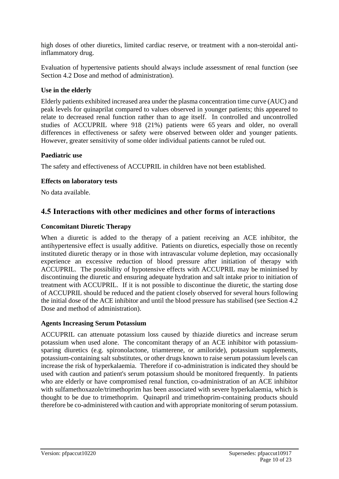high doses of other diuretics, limited cardiac reserve, or treatment with a non-steroidal antiinflammatory drug.

Evaluation of hypertensive patients should always include assessment of renal function (see Section 4.2 Dose and method of administration).

#### **Use in the elderly**

Elderly patients exhibited increased area under the plasma concentration time curve (AUC) and peak levels for quinaprilat compared to values observed in younger patients; this appeared to relate to decreased renal function rather than to age itself. In controlled and uncontrolled studies of ACCUPRIL where 918 (21%) patients were 65 years and older, no overall differences in effectiveness or safety were observed between older and younger patients. However, greater sensitivity of some older individual patients cannot be ruled out.

#### **Paediatric use**

The safety and effectiveness of ACCUPRIL in children have not been established.

#### **Effects on laboratory tests**

No data available.

# **4.5 Interactions with other medicines and other forms of interactions**

#### **Concomitant Diuretic Therapy**

When a diuretic is added to the therapy of a patient receiving an ACE inhibitor, the antihypertensive effect is usually additive. Patients on diuretics, especially those on recently instituted diuretic therapy or in those with intravascular volume depletion, may occasionally experience an excessive reduction of blood pressure after initiation of therapy with ACCUPRIL. The possibility of hypotensive effects with ACCUPRIL may be minimised by discontinuing the diuretic and ensuring adequate hydration and salt intake prior to initiation of treatment with ACCUPRIL. If it is not possible to discontinue the diuretic, the starting dose of ACCUPRIL should be reduced and the patient closely observed for several hours following the initial dose of the ACE inhibitor and until the blood pressure has stabilised (see Section 4.2 Dose and method of administration).

#### **Agents Increasing Serum Potassium**

ACCUPRIL can attenuate potassium loss caused by thiazide diuretics and increase serum potassium when used alone. The concomitant therapy of an ACE inhibitor with potassiumsparing diuretics (e.g. spironolactone, triamterene, or amiloride), potassium supplements, potassium-containing salt substitutes, or other drugs known to raise serum potassium levels can increase the risk of hyperkalaemia. Therefore if co-administration is indicated they should be used with caution and patient's serum potassium should be monitored frequently. In patients who are elderly or have compromised renal function, co-administration of an ACE inhibitor with sulfamethoxazole/trimethoprim has been associated with severe hyperkalaemia, which is thought to be due to trimethoprim. Quinapril and trimethoprim-containing products should therefore be co-administered with caution and with appropriate monitoring of serum potassium.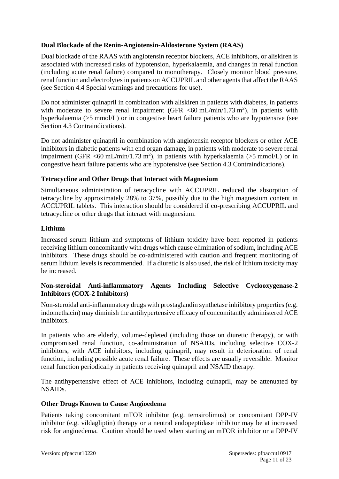### **Dual Blockade of the Renin-Angiotensin-Aldosterone System (RAAS)**

Dual blockade of the RAAS with angiotensin receptor blockers, ACE inhibitors, or aliskiren is associated with increased risks of hypotension, hyperkalaemia, and changes in renal function (including acute renal failure) compared to monotherapy. Closely monitor blood pressure, renal function and electrolytes in patients on ACCUPRIL and other agents that affect the RAAS (see Section 4.4 Special warnings and precautions for use).

Do not administer quinapril in combination with aliskiren in patients with diabetes, in patients with moderate to severe renal impairment (GFR  $\langle 60 \text{ mL/min/1.73 m}^2 \rangle$ , in patients with hyperkalaemia (>5 mmol/L) or in congestive heart failure patients who are hypotensive (see Section 4.3 Contraindications).

Do not administer quinapril in combination with angiotensin receptor blockers or other ACE inhibitors in diabetic patients with end organ damage, in patients with moderate to severe renal impairment (GFR <60 mL/min/1.73 m<sup>2</sup>), in patients with hyperkalaemia (>5 mmol/L) or in congestive heart failure patients who are hypotensive (see Section 4.3 Contraindications).

### **Tetracycline and Other Drugs that Interact with Magnesium**

Simultaneous administration of tetracycline with ACCUPRIL reduced the absorption of tetracycline by approximately 28% to 37%, possibly due to the high magnesium content in ACCUPRIL tablets. This interaction should be considered if co-prescribing ACCUPRIL and tetracycline or other drugs that interact with magnesium.

### **Lithium**

Increased serum lithium and symptoms of lithium toxicity have been reported in patients receiving lithium concomitantly with drugs which cause elimination of sodium, including ACE inhibitors. These drugs should be co-administered with caution and frequent monitoring of serum lithium levels is recommended. If a diuretic is also used, the risk of lithium toxicity may be increased.

### **Non-steroidal Anti-inflammatory Agents Including Selective Cyclooxygenase-2 Inhibitors (COX-2 Inhibitors)**

Non-steroidal anti-inflammatory drugs with prostaglandin synthetase inhibitory properties (e.g. indomethacin) may diminish the antihypertensive efficacy of concomitantly administered ACE inhibitors.

In patients who are elderly, volume-depleted (including those on diuretic therapy), or with compromised renal function, co-administration of NSAIDs, including selective COX-2 inhibitors, with ACE inhibitors, including quinapril, may result in deterioration of renal function, including possible acute renal failure. These effects are usually reversible. Monitor renal function periodically in patients receiving quinapril and NSAID therapy.

The antihypertensive effect of ACE inhibitors, including quinapril, may be attenuated by NSAIDs.

### **Other Drugs Known to Cause Angioedema**

Patients taking concomitant mTOR inhibitor (e.g. temsirolimus) or concomitant DPP-IV inhibitor (e.g. vildagliptin) therapy or a neutral endopeptidase inhibitor may be at increased risk for angioedema. Caution should be used when starting an mTOR inhibitor or a DPP-IV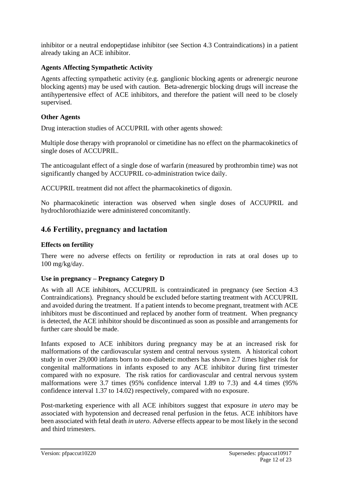inhibitor or a neutral endopeptidase inhibitor (see Section 4.3 Contraindications) in a patient already taking an ACE inhibitor.

#### **Agents Affecting Sympathetic Activity**

Agents affecting sympathetic activity (e.g. ganglionic blocking agents or adrenergic neurone blocking agents) may be used with caution. Beta-adrenergic blocking drugs will increase the antihypertensive effect of ACE inhibitors, and therefore the patient will need to be closely supervised.

#### **Other Agents**

Drug interaction studies of ACCUPRIL with other agents showed:

Multiple dose therapy with propranolol or cimetidine has no effect on the pharmacokinetics of single doses of ACCUPRIL.

The anticoagulant effect of a single dose of warfarin (measured by prothrombin time) was not significantly changed by ACCUPRIL co-administration twice daily.

ACCUPRIL treatment did not affect the pharmacokinetics of digoxin.

No pharmacokinetic interaction was observed when single doses of ACCUPRIL and hydrochlorothiazide were administered concomitantly.

# **4.6 Fertility, pregnancy and lactation**

#### **Effects on fertility**

There were no adverse effects on fertility or reproduction in rats at oral doses up to 100 mg/kg/day.

#### **Use in pregnancy – Pregnancy Category D**

As with all ACE inhibitors, ACCUPRIL is contraindicated in pregnancy (see Section 4.3 Contraindications). Pregnancy should be excluded before starting treatment with ACCUPRIL and avoided during the treatment. If a patient intends to become pregnant, treatment with ACE inhibitors must be discontinued and replaced by another form of treatment. When pregnancy is detected, the ACE inhibitor should be discontinued as soon as possible and arrangements for further care should be made.

Infants exposed to ACE inhibitors during pregnancy may be at an increased risk for malformations of the cardiovascular system and central nervous system. A historical cohort study in over 29,000 infants born to non-diabetic mothers has shown 2.7 times higher risk for congenital malformations in infants exposed to any ACE inhibitor during first trimester compared with no exposure. The risk ratios for cardiovascular and central nervous system malformations were 3.7 times (95% confidence interval 1.89 to 7.3) and 4.4 times (95% confidence interval 1.37 to 14.02) respectively, compared with no exposure.

Post-marketing experience with all ACE inhibitors suggest that exposure *in utero* may be associated with hypotension and decreased renal perfusion in the fetus. ACE inhibitors have been associated with fetal death *in utero*. Adverse effects appear to be most likely in the second and third trimesters.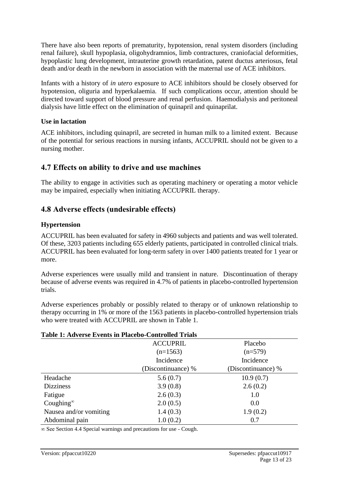There have also been reports of prematurity, hypotension, renal system disorders (including renal failure), skull hypoplasia, oligohydramnios, limb contractures, craniofacial deformities, hypoplastic lung development, intrauterine growth retardation, patent ductus arteriosus, fetal death and/or death in the newborn in association with the maternal use of ACE inhibitors.

Infants with a history of *in utero* exposure to ACE inhibitors should be closely observed for hypotension, oliguria and hyperkalaemia. If such complications occur, attention should be directed toward support of blood pressure and renal perfusion. Haemodialysis and peritoneal dialysis have little effect on the elimination of quinapril and quinaprilat.

#### **Use in lactation**

ACE inhibitors, including quinapril, are secreted in human milk to a limited extent. Because of the potential for serious reactions in nursing infants, ACCUPRIL should not be given to a nursing mother.

# **4.7 Effects on ability to drive and use machines**

The ability to engage in activities such as operating machinery or operating a motor vehicle may be impaired, especially when initiating ACCUPRIL therapy.

# **4.8 Adverse effects (undesirable effects)**

### **Hypertension**

ACCUPRIL has been evaluated for safety in 4960 subjects and patients and was well tolerated. Of these, 3203 patients including 655 elderly patients, participated in controlled clinical trials. ACCUPRIL has been evaluated for long-term safety in over 1400 patients treated for 1 year or more.

Adverse experiences were usually mild and transient in nature. Discontinuation of therapy because of adverse events was required in 4.7% of patients in placebo-controlled hypertension trials.

Adverse experiences probably or possibly related to therapy or of unknown relationship to therapy occurring in 1% or more of the 1563 patients in placebo-controlled hypertension trials who were treated with ACCUPRIL are shown in [Table 1.](#page-12-0)

#### <span id="page-12-0"></span>**Table 1: Adverse Events in Placebo-Controlled Trials**

|                        | <b>ACCUPRIL</b>    | Placebo            |
|------------------------|--------------------|--------------------|
|                        | $(n=1563)$         | $(n=579)$          |
|                        | Incidence          | Incidence          |
|                        | (Discontinuance) % | (Discontinuance) % |
| Headache               | 5.6(0.7)           | 10.9(0.7)          |
| <b>Dizziness</b>       | 3.9(0.8)           | 2.6(0.2)           |
| Fatigue                | 2.6(0.3)           | 1.0                |
| Coughing $\infty$      | 2.0(0.5)           | 0.0                |
| Nausea and/or vomiting | 1.4(0.3)           | 1.9(0.2)           |
| Abdominal pain         | 1.0(0.2)           | 0.7                |

∞ See Section 4.4 Special warnings and precautions for use - Cough.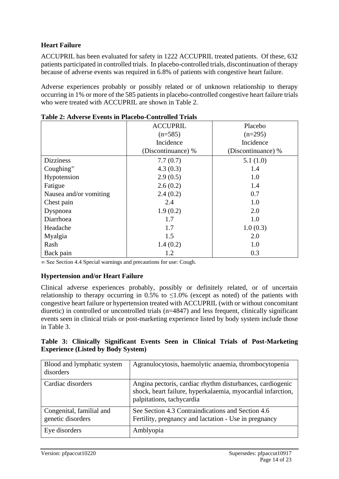### **Heart Failure**

ACCUPRIL has been evaluated for safety in 1222 ACCUPRIL treated patients. Of these, 632 patients participated in controlled trials. In placebo-controlled trials, discontinuation of therapy because of adverse events was required in 6.8% of patients with congestive heart failure.

Adverse experiences probably or possibly related or of unknown relationship to therapy occurring in 1% or more of the 585 patients in placebo-controlled congestive heart failure trials who were treated with ACCUPRIL are shown in [Table 2.](#page-13-0)

|                        | <b>ACCUPRIL</b>    | Placebo            |
|------------------------|--------------------|--------------------|
|                        | $(n=585)$          | $(n=295)$          |
|                        | Incidence          | Incidence          |
|                        | (Discontinuance) % | (Discontinuance) % |
| <b>Dizziness</b>       | 7.7(0.7)           | 5.1(1.0)           |
| Coughing $^{\infty}$   | 4.3(0.3)           | 1.4                |
| Hypotension            | 2.9(0.5)           | 1.0                |
| Fatigue                | 2.6(0.2)           | 1.4                |
| Nausea and/or vomiting | 2.4(0.2)           | 0.7                |
| Chest pain             | 2.4                | 1.0                |
| Dyspnoea               | 1.9(0.2)           | 2.0                |
| Diarrhoea              | 1.7                | 1.0                |
| Headache               | 1.7                | 1.0(0.3)           |
| Myalgia                | 1.5                | 2.0                |
| Rash                   | 1.4(0.2)           | 1.0                |
| Back pain              | 1.2                | 0.3                |

<span id="page-13-0"></span>

∞ See Section 4.4 Special warnings and precautions for use: Cough.

### **Hypertension and/or Heart Failure**

Clinical adverse experiences probably, possibly or definitely related, or of uncertain relationship to therapy occurring in 0.5% to  $\leq$ 1.0% (except as noted) of the patients with congestive heart failure or hypertension treated with ACCUPRIL (with or without concomitant diuretic) in controlled or uncontrolled trials (n=4847) and less frequent, clinically significant events seen in clinical trials or post-marketing experience listed by body system include those in [Table 3.](#page-13-1)

#### <span id="page-13-1"></span>**Table 3: Clinically Significant Events Seen in Clinical Trials of Post-Marketing Experience (Listed by Body System)**

| Blood and lymphatic system<br>disorders       | Agranulocytosis, haemolytic anaemia, thrombocytopenia                                                                                                 |
|-----------------------------------------------|-------------------------------------------------------------------------------------------------------------------------------------------------------|
| Cardiac disorders                             | Angina pectoris, cardiac rhythm disturbances, cardiogenic<br>shock, heart failure, hyperkalaemia, myocardial infarction,<br>palpitations, tachycardia |
| Congenital, familial and<br>genetic disorders | See Section 4.3 Contraindications and Section 4.6<br>Fertility, pregnancy and lactation - Use in pregnancy                                            |
| Eye disorders                                 | Amblyopia                                                                                                                                             |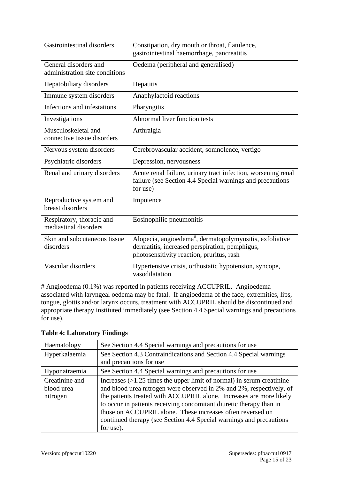| Gastrointestinal disorders                              | Constipation, dry mouth or throat, flatulence,<br>gastrointestinal haemorrhage, pancreatitis                                                                        |
|---------------------------------------------------------|---------------------------------------------------------------------------------------------------------------------------------------------------------------------|
| General disorders and<br>administration site conditions | Oedema (peripheral and generalised)                                                                                                                                 |
| Hepatobiliary disorders                                 | Hepatitis                                                                                                                                                           |
| Immune system disorders                                 | Anaphylactoid reactions                                                                                                                                             |
| Infections and infestations                             | Pharyngitis                                                                                                                                                         |
| Investigations                                          | Abnormal liver function tests                                                                                                                                       |
| Musculoskeletal and<br>connective tissue disorders      | Arthralgia                                                                                                                                                          |
| Nervous system disorders                                | Cerebrovascular accident, somnolence, vertigo                                                                                                                       |
| Psychiatric disorders                                   | Depression, nervousness                                                                                                                                             |
| Renal and urinary disorders                             | Acute renal failure, urinary tract infection, worsening renal<br>failure (see Section 4.4 Special warnings and precautions<br>for use)                              |
| Reproductive system and<br>breast disorders             | Impotence                                                                                                                                                           |
| Respiratory, thoracic and<br>mediastinal disorders      | Eosinophilic pneumonitis                                                                                                                                            |
| Skin and subcutaneous tissue<br>disorders               | Alopecia, angioedema <sup>#</sup> , dermatopolymyositis, exfoliative<br>dermatitis, increased perspiration, pemphigus,<br>photosensitivity reaction, pruritus, rash |
| Vascular disorders                                      | Hypertensive crisis, orthostatic hypotension, syncope,<br>vasodilatation                                                                                            |

# Angioedema (0.1%) was reported in patients receiving ACCUPRIL. Angioedema associated with laryngeal oedema may be fatal. If angioedema of the face, extremities, lips, tongue, glottis and/or larynx occurs, treatment with ACCUPRIL should be discontinued and appropriate therapy instituted immediately (see Section 4.4 Special warnings and precautions for use).

### **Table 4: Laboratory Findings**

| Haematology    | See Section 4.4 Special warnings and precautions for use                |
|----------------|-------------------------------------------------------------------------|
| Hyperkalaemia  | See Section 4.3 Contraindications and Section 4.4 Special warnings      |
|                | and precautions for use                                                 |
| Hyponatraemia  | See Section 4.4 Special warnings and precautions for use                |
| Creatinine and | Increases $(>1.25$ times the upper limit of normal) in serum creatinine |
| blood urea     | and blood urea nitrogen were observed in 2% and 2%, respectively, of    |
| nitrogen       | the patients treated with ACCUPRIL alone. Increases are more likely     |
|                | to occur in patients receiving concomitant diuretic therapy than in     |
|                | those on ACCUPRIL alone. These increases often reversed on              |
|                | continued therapy (see Section 4.4 Special warnings and precautions     |
|                | for use).                                                               |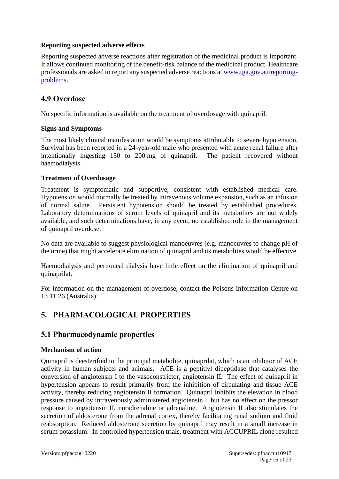#### **Reporting suspected adverse effects**

Reporting suspected adverse reactions after registration of the medicinal product is important. It allows continued monitoring of the benefit-risk balance of the medicinal product. Healthcare professionals are asked to report any suspected adverse reactions at [www.tga.gov.au/reporting](http://www.tga.gov.au/reporting-problems)[problems.](http://www.tga.gov.au/reporting-problems)

### **4.9 Overdose**

No specific information is available on the treatment of overdosage with quinapril.

#### **Signs and Symptoms**

The most likely clinical manifestation would be symptoms attributable to severe hypotension. Survival has been reported in a 24-year-old male who presented with acute renal failure after intentionally ingesting 150 to 200 mg of quinapril. The patient recovered without haemodialysis.

#### **Treatment of Overdosage**

Treatment is symptomatic and supportive, consistent with established medical care. Hypotension would normally be treated by intravenous volume expansion, such as an infusion of normal saline. Persistent hypotension should be treated by established procedures. Laboratory determinations of serum levels of quinapril and its metabolites are not widely available, and such determinations have, in any event, no established role in the management of quinapril overdose.

No data are available to suggest physiological manoeuvres (e.g. manoeuvres to change pH of the urine) that might accelerate elimination of quinapril and its metabolites would be effective.

Haemodialysis and peritoneal dialysis have little effect on the elimination of quinapril and quinaprilat.

For information on the management of overdose, contact the Poisons Information Centre on 13 11 26 (Australia).

# **5. PHARMACOLOGICAL PROPERTIES**

# **5.1 Pharmacodynamic properties**

#### **Mechanism of action**

Quinapril is deesterified to the principal metabolite, quinaprilat, which is an inhibitor of ACE activity in human subjects and animals. ACE is a peptidyl dipeptidase that catalyses the conversion of angiotensin I to the vasoconstrictor, angiotensin II. The effect of quinapril in hypertension appears to result primarily from the inhibition of circulating and tissue ACE activity, thereby reducing angiotensin II formation. Quinapril inhibits the elevation in blood pressure caused by intravenously administered angiotensin I, but has no effect on the pressor response to angiotensin II, noradrenaline or adrenaline. Angiotensin II also stimulates the secretion of aldosterone from the adrenal cortex, thereby facilitating renal sodium and fluid reabsorption. Reduced aldosterone secretion by quinapril may result in a small increase in serum potassium. In controlled hypertension trials, treatment with ACCUPRIL alone resulted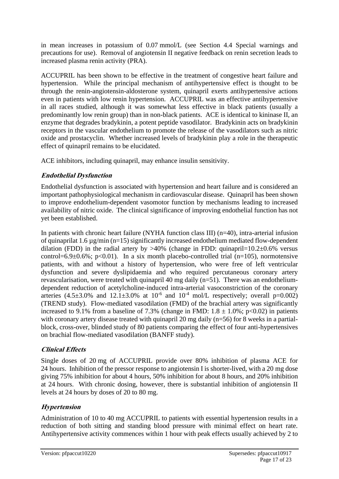in mean increases in potassium of 0.07 mmol/L (see Section 4.4 Special warnings and precautions for use). Removal of angiotensin II negative feedback on renin secretion leads to increased plasma renin activity (PRA).

ACCUPRIL has been shown to be effective in the treatment of congestive heart failure and hypertension. While the principal mechanism of antihypertensive effect is thought to be through the renin-angiotensin-aldosterone system, quinapril exerts antihypertensive actions even in patients with low renin hypertension. ACCUPRIL was an effective antihypertensive in all races studied, although it was somewhat less effective in black patients (usually a predominantly low renin group) than in non-black patients. ACE is identical to kininase II, an enzyme that degrades bradykinin, a potent peptide vasodilator. Bradykinin acts on bradykinin receptors in the vascular endothelium to promote the release of the vasodilators such as nitric oxide and prostacyclin. Whether increased levels of bradykinin play a role in the therapeutic effect of quinapril remains to be elucidated.

ACE inhibitors, including quinapril, may enhance insulin sensitivity.

# **Endothelial Dysfunction**

Endothelial dysfunction is associated with hypertension and heart failure and is considered an important pathophysiological mechanism in cardiovascular disease. Quinapril has been shown to improve endothelium-dependent vasomotor function by mechanisms leading to increased availability of nitric oxide. The clinical significance of improving endothelial function has not yet been established.

In patients with chronic heart failure (NYHA function class III) (n=40), intra-arterial infusion of quinaprilat 1.6 µg/min (n=15) significantly increased endothelium mediated flow-dependent dilation (FDD) in the radial artery by  $>40\%$  (change in FDD: quinapril=10.2 $\pm$ 0.6% versus control=6.9 $\pm$ 0.6%; p<0.01). In a six month placebo-controlled trial (n=105), normotensive patients, with and without a history of hypertension, who were free of left ventricular dysfunction and severe dyslipidaemia and who required percutaneous coronary artery revascularisation, were treated with quinapril 40 mg daily (n=51). There was an endotheliumdependent reduction of acetylcholine-induced intra-arterial vasoconstriction of the coronary arteries  $(4.5\pm3.0\%$  and  $12.1\pm3.0\%$  at  $10^{-6}$  and  $10^{-4}$  mol/L respectively; overall p=0.002) (TREND study). Flow-mediated vasodilation (FMD) of the brachial artery was significantly increased to 9.1% from a baseline of 7.3% (change in FMD:  $1.8 \pm 1.0$ %; p<0.02) in patients with coronary artery disease treated with quinapril 20 mg daily (n=56) for 8 weeks in a partialblock, cross-over, blinded study of 80 patients comparing the effect of four anti-hypertensives on brachial flow-mediated vasodilation (BANFF study).

# **Clinical Effects**

Single doses of 20 mg of ACCUPRIL provide over 80% inhibition of plasma ACE for 24 hours. Inhibition of the pressor response to angiotensin I is shorter-lived, with a 20 mg dose giving 75% inhibition for about 4 hours, 50% inhibition for about 8 hours, and 20% inhibition at 24 hours. With chronic dosing, however, there is substantial inhibition of angiotensin II levels at 24 hours by doses of 20 to 80 mg.

# **Hypertension**

Administration of 10 to 40 mg ACCUPRIL to patients with essential hypertension results in a reduction of both sitting and standing blood pressure with minimal effect on heart rate. Antihypertensive activity commences within 1 hour with peak effects usually achieved by 2 to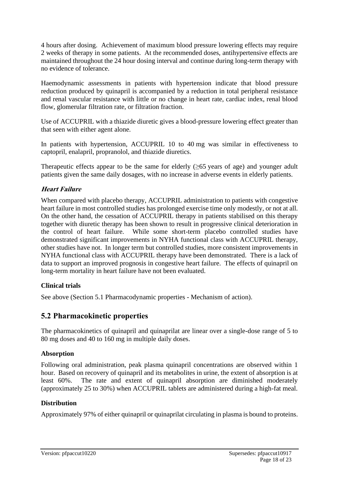4 hours after dosing. Achievement of maximum blood pressure lowering effects may require 2 weeks of therapy in some patients. At the recommended doses, antihypertensive effects are maintained throughout the 24 hour dosing interval and continue during long-term therapy with no evidence of tolerance.

Haemodynamic assessments in patients with hypertension indicate that blood pressure reduction produced by quinapril is accompanied by a reduction in total peripheral resistance and renal vascular resistance with little or no change in heart rate, cardiac index, renal blood flow, glomerular filtration rate, or filtration fraction.

Use of ACCUPRIL with a thiazide diuretic gives a blood-pressure lowering effect greater than that seen with either agent alone.

In patients with hypertension, ACCUPRIL 10 to 40 mg was similar in effectiveness to captopril, enalapril, propranolol, and thiazide diuretics.

Therapeutic effects appear to be the same for elderly  $(\geq 65$  years of age) and younger adult patients given the same daily dosages, with no increase in adverse events in elderly patients.

### **Heart Failure**

When compared with placebo therapy, ACCUPRIL administration to patients with congestive heart failure in most controlled studies has prolonged exercise time only modestly, or not at all. On the other hand, the cessation of ACCUPRIL therapy in patients stabilised on this therapy together with diuretic therapy has been shown to result in progressive clinical deterioration in the control of heart failure. While some short-term placebo controlled studies have demonstrated significant improvements in NYHA functional class with ACCUPRIL therapy, other studies have not. In longer term but controlled studies, more consistent improvements in NYHA functional class with ACCUPRIL therapy have been demonstrated. There is a lack of data to support an improved prognosis in congestive heart failure. The effects of quinapril on long-term mortality in heart failure have not been evaluated.

#### **Clinical trials**

See above (Section 5.1 Pharmacodynamic properties - Mechanism of action).

### **5.2 Pharmacokinetic properties**

The pharmacokinetics of quinapril and quinaprilat are linear over a single-dose range of 5 to 80 mg doses and 40 to 160 mg in multiple daily doses.

#### **Absorption**

Following oral administration, peak plasma quinapril concentrations are observed within 1 hour. Based on recovery of quinapril and its metabolites in urine, the extent of absorption is at least 60%. The rate and extent of quinapril absorption are diminished moderately (approximately 25 to 30%) when ACCUPRIL tablets are administered during a high-fat meal.

#### **Distribution**

Approximately 97% of either quinapril or quinaprilat circulating in plasma is bound to proteins.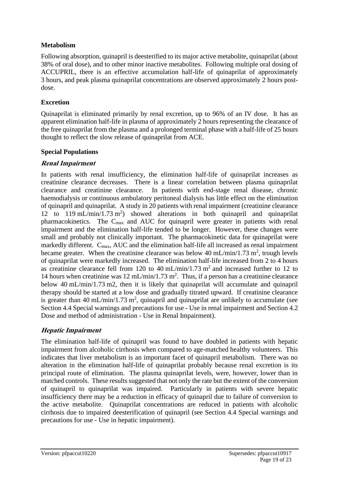#### **Metabolism**

Following absorption, quinapril is deesterified to its major active metabolite, quinaprilat (about 38% of oral dose), and to other minor inactive metabolites. Following multiple oral dosing of ACCUPRIL, there is an effective accumulation half-life of quinaprilat of approximately 3 hours, and peak plasma quinaprilat concentrations are observed approximately 2 hours postdose.

#### **Excretion**

Quinaprilat is eliminated primarily by renal excretion, up to 96% of an IV dose. It has an apparent elimination half-life in plasma of approximately 2 hours representing the clearance of the free quinaprilat from the plasma and a prolonged terminal phase with a half-life of 25 hours thought to reflect the slow release of quinaprilat from ACE.

#### **Special Populations**

#### **Renal Impairment**

In patients with renal insufficiency, the elimination half-life of quinaprilat increases as creatinine clearance decreases. There is a linear correlation between plasma quinaprilat clearance and creatinine clearance. In patients with end-stage renal disease, chronic haemodialysis or continuous ambulatory peritoneal dialysis has little effect on the elimination of quinapril and quinaprilat. A study in 20 patients with renal impairment (creatinine clearance 12 to 119 mL/min/1.73 m<sup>2</sup>) showed alterations in both quinapril and quinaprilat pharmacokinetics. The Cmax and AUC for quinapril were greater in patients with renal impairment and the elimination half-life tended to be longer. However, these changes were small and probably not clinically important. The pharmacokinetic data for quinaprilat were markedly different. C<sub>max</sub>, AUC and the elimination half-life all increased as renal impairment became greater. When the creatinine clearance was below 40 mL/min/1.73 m<sup>2</sup>, trough levels of quinaprilat were markedly increased. The elimination half-life increased from 2 to 4 hours as creatinine clearance fell from 120 to 40 mL/min/1.73 m<sup>2</sup> and increased further to 12 to 14 hours when creatinine was  $12 \text{ mL/min}/1.73 \text{ m}^2$ . Thus, if a person has a creatinine clearance below 40 mL/min/1.73 m2, then it is likely that quinaprilat will accumulate and quinapril therapy should be started at a low dose and gradually titrated upward. If creatinine clearance is greater than 40 mL/min/1.73 m<sup>2</sup>, quinapril and quinaprilat are unlikely to accumulate (see Section 4.4 Special warnings and precautions for use - Use in renal impairment and Section 4.2 Dose and method of administration - Use in Renal Impairment).

### **Hepatic Impairment**

The elimination half-life of quinapril was found to have doubled in patients with hepatic impairment from alcoholic cirrhosis when compared to age-matched healthy volunteers. This indicates that liver metabolism is an important facet of quinapril metabolism. There was no alteration in the elimination half-life of quinaprilat probably because renal excretion is its principal route of elimination. The plasma quinaprilat levels, were, however, lower than in matched controls. These results suggested that not only the rate but the extent of the conversion of quinapril to quinaprilat was impaired. Particularly in patients with severe hepatic insufficiency there may be a reduction in efficacy of quinapril due to failure of conversion to the active metabolite. Quinaprilat concentrations are reduced in patients with alcoholic cirrhosis due to impaired deesterification of quinapril (see Section 4.4 Special warnings and precautions for use - Use in hepatic impairment).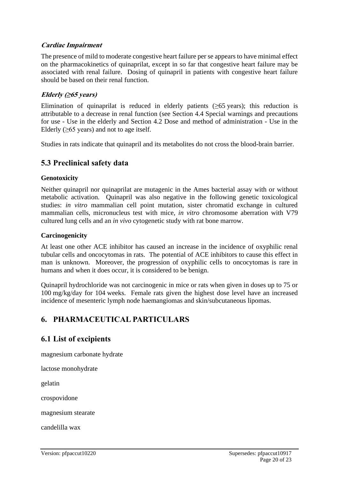#### **Cardiac Impairment**

The presence of mild to moderate congestive heart failure per se appears to have minimal effect on the pharmacokinetics of quinaprilat, except in so far that congestive heart failure may be associated with renal failure. Dosing of quinapril in patients with congestive heart failure should be based on their renal function.

#### **Elderly (≥65 years)**

Elimination of quinaprilat is reduced in elderly patients ( $\geq 65$  years); this reduction is attributable to a decrease in renal function (see Section 4.4 Special warnings and precautions for use - Use in the elderly and Section 4.2 Dose and method of administration - Use in the Elderly  $(\geq 65$  years) and not to age itself.

Studies in rats indicate that quinapril and its metabolites do not cross the blood-brain barrier.

# **5.3 Preclinical safety data**

#### **Genotoxicity**

Neither quinapril nor quinaprilat are mutagenic in the Ames bacterial assay with or without metabolic activation. Quinapril was also negative in the following genetic toxicological studies: *in vitro* mammalian cell point mutation, sister chromatid exchange in cultured mammalian cells, micronucleus test with mice, *in vitro* chromosome aberration with V79 cultured lung cells and an *in vivo* cytogenetic study with rat bone marrow.

#### **Carcinogenicity**

At least one other ACE inhibitor has caused an increase in the incidence of oxyphilic renal tubular cells and oncocytomas in rats. The potential of ACE inhibitors to cause this effect in man is unknown. Moreover, the progression of oxyphilic cells to oncocytomas is rare in humans and when it does occur, it is considered to be benign.

Quinapril hydrochloride was not carcinogenic in mice or rats when given in doses up to 75 or 100 mg/kg/day for 104 weeks. Female rats given the highest dose level have an increased incidence of mesenteric lymph node haemangiomas and skin/subcutaneous lipomas.

# **6. PHARMACEUTICAL PARTICULARS**

# **6.1 List of excipients**

magnesium carbonate hydrate

lactose monohydrate

gelatin

crospovidone

magnesium stearate

candelilla wax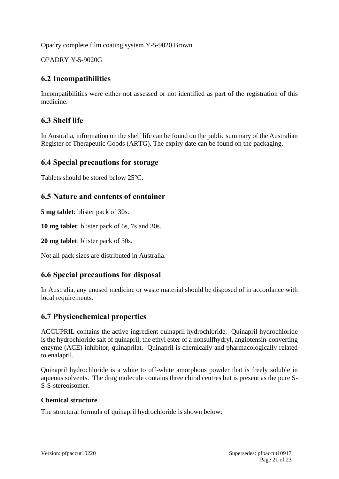Opadry complete film coating system Y-5-9020 Brown

OPADRY Y-5-9020G

# **6.2 Incompatibilities**

Incompatibilities were either not assessed or not identified as part of the registration of this medicine.

# **6.3 Shelf life**

In Australia, information on the shelf life can be found on the public summary of the Australian Register of Therapeutic Goods (ARTG). The expiry date can be found on the packaging.

# **6.4 Special precautions for storage**

Tablets should be stored below 25°C.

# **6.5 Nature and contents of container**

**5 mg tablet**: blister pack of 30s.

**10 mg tablet**: blister pack of 6s, 7s and 30s.

**20 mg tablet**: blister pack of 30s.

Not all pack sizes are distributed in Australia.

# **6.6 Special precautions for disposal**

In Australia, any unused medicine or waste material should be disposed of in accordance with local requirements.

# **6.7 Physicochemical properties**

ACCUPRIL contains the active ingredient quinapril hydrochloride. Quinapril hydrochloride is the hydrochloride salt of quinapril, the ethyl ester of a nonsulfhydryl, angiotensin-converting enzyme (ACE) inhibitor, quinaprilat. Quinapril is chemically and pharmacologically related to enalapril.

Quinapril hydrochloride is a white to off-white amorphous powder that is freely soluble in aqueous solvents. The drug molecule contains three chiral centres but is present as the pure S-S-S-stereoisomer.

### **Chemical structure**

The structural formula of quinapril hydrochloride is shown below: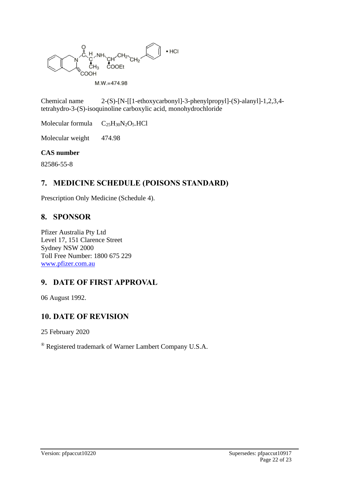

Chemical name 2-(S)-[N-[[1-ethoxycarbonyl]-3-phenylpropyl]-(S)-alanyl]-1,2,3,4 tetrahydro-3-(S)-isoquinoline carboxylic acid, monohydrochloride

Molecular formula  $C_{25}H_{30}N_2O_5.HCl$ 

Molecular weight 474.98

#### **CAS number**

82586-55-8

# **7. MEDICINE SCHEDULE (POISONS STANDARD)**

Prescription Only Medicine (Schedule 4).

# **8. SPONSOR**

Pfizer Australia Pty Ltd Level 17, 151 Clarence Street Sydney NSW 2000 Toll Free Number: 1800 675 229 [www.pfizer.com.au](http://www.pfizer.com.au/)

# **9. DATE OF FIRST APPROVAL**

06 August 1992.

# **10. DATE OF REVISION**

25 February 2020

® Registered trademark of Warner Lambert Company U.S.A.